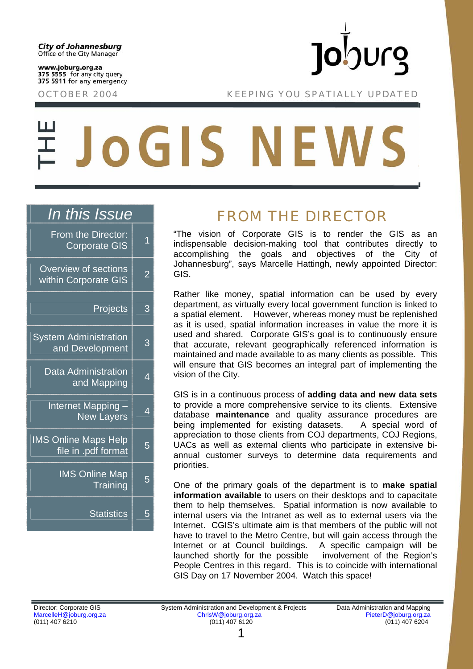www.joburg.org.za 375 5555 for any city query 375 5911 for any emergency

**Jo**burg

OCTOBER 2004 KEEPING YOU SPATIALLY UPDATED

# **JOGIS NEWS**

### *In this Issue*

| From the Director:<br><b>Corporate GIS</b>         | 1              |
|----------------------------------------------------|----------------|
| Overview of sections<br>within Corporate GIS       | $\overline{2}$ |
| Projects                                           | 3              |
| <b>System Administration</b><br>and Development    | 3              |
| <b>Data Administration</b><br>and Mapping          | 4              |
| Internet Mapping -<br><b>New Layers</b>            | 4              |
| <b>IMS Online Maps Help</b><br>file in .pdf format | 5              |
| <b>IMS Online Map</b><br>Training                  | 5              |
| <b>Statistics</b>                                  | 5              |

# FROM THE DIRECTOR

"The vision of Corporate GIS is to render the GIS as an indispensable decision-making tool that contributes directly to accomplishing the goals and objectives of the City of Johannesburg", says Marcelle Hattingh, newly appointed Director: GIS.

Rather like money, spatial information can be used by every department, as virtually every local government function is linked to a spatial element. However, whereas money must be replenished as it is used, spatial information increases in value the more it is used and shared. Corporate GIS's goal is to continuously ensure that accurate, relevant geographically referenced information is maintained and made available to as many clients as possible. This will ensure that GIS becomes an integral part of implementing the vision of the City.

GIS is in a continuous process of **adding data and new data sets** to provide a more comprehensive service to its clients. Extensive database **maintenance** and quality assurance procedures are being implemented for existing datasets. A special word of appreciation to those clients from COJ departments, COJ Regions, UACs as well as external clients who participate in extensive biannual customer surveys to determine data requirements and priorities.

One of the primary goals of the department is to **make spatial information available** to users on their desktops and to capacitate them to help themselves. Spatial information is now available to internal users via the Intranet as well as to external users via the Internet. CGIS's ultimate aim is that members of the public will not have to travel to the Metro Centre, but will gain access through the Internet or at Council buildings. A specific campaign will be launched shortly for the possible involvement of the Region's People Centres in this regard. This is to coincide with international GIS Day on 17 November 2004. Watch this space!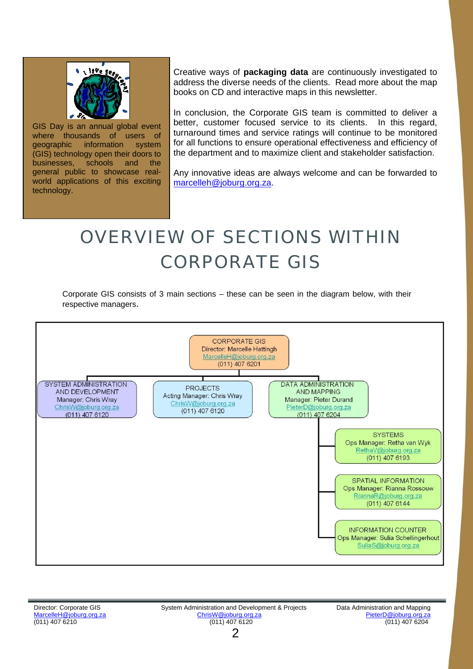

 technology. GIS Day is an annual global event where thousands of users of geographic information system (GIS) technology open their doors to businesses, schools and the general public to showcase realworld applications of this exciting

Creative ways of **packaging data** are continuously investigated to address the diverse needs of the clients. Read more about the map books on CD and interactive maps in this newsletter.

In conclusion, the Corporate GIS team is committed to deliver a better, customer focused service to its clients. In this regard, turnaround times and service ratings will continue to be monitored for all functions to ensure operational effectiveness and efficiency of the department and to maximize client and stakeholder satisfaction.

Any innovative ideas are always welcome and can be forwarded to [marcelleh@joburg.org.za](mailto:marcelleh@joburg.org.za).

# OVERVIEW OF SECTIONS WITHIN CORPORATE GIS

Corporate GIS consists of 3 main sections – these can be seen in the diagram below, with their respective managers.

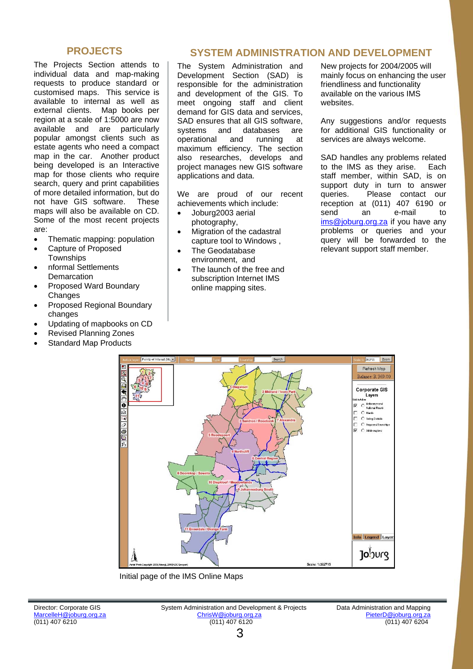#### **PROJECTS**

The Projects Section attends to individual data and map-making requests to produce standard or customised maps. This service is available to internal as well as external clients. Map books per region at a scale of 1:5000 are now available and are particularly popular amongst clients such as estate agents who need a compact map in the car. Another product being developed is an Interactive map for those clients who require search, query and print capabilities of more detailed information, but do not have GIS software. These maps will also be available on CD. Some of the most recent projects are:

- Thematic mapping: population
- Capture of Proposed **Townships**
- nformal Settlements **Demarcation**
- Proposed Ward Boundary **Changes**
- Proposed Regional Boundary changes
- Updating of mapbooks on CD
- Revised Planning Zones
- **Standard Map Products**

#### **SYSTEM ADMINISTRATION AND DEVELOPMENT**

The System Administration and Development Section (SAD) is responsible for the administration and development of the GIS. To meet ongoing staff and client demand for GIS data and services, SAD ensures that all GIS software. systems and databases are operational and running at maximum efficiency. The section also researches, develops and project manages new GIS software applications and data.

We are proud of our recent achievements which include:

- Joburg2003 aerial photography,
- Migration of the cadastral capture tool to Windows ,
- The Geodatabase environment, and
- The launch of the free and subscription Internet IMS online mapping sites.

New projects for 2004/2005 will mainly focus on enhancing the user friendliness and functionality available on the various IMS websites.

Any suggestions and/or requests for additional GIS functionality or services are always welcome.

SAD handles any problems related to the IMS as they arise. Each staff member, within SAD, is on support duty in turn to answer queries. Please contact our reception at (011) 407 6190 or send an e-mail to [ims@joburg.org.za](mailto:ims@joburg.org.za) if you have any problems or queries and your query will be forwarded to the relevant support staff member.



Initial page of the IMS Online Maps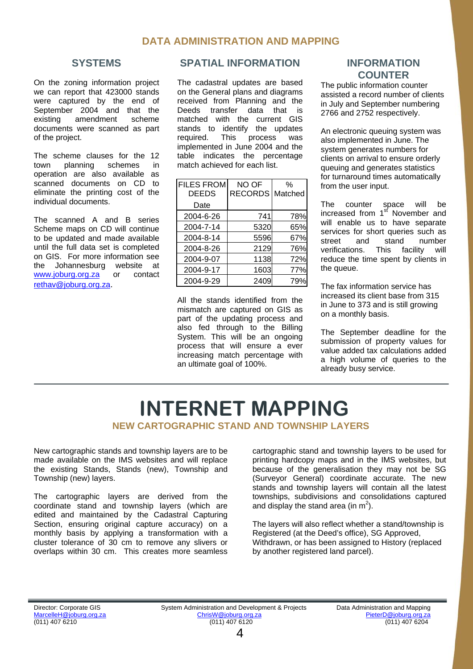#### **DATA ADMINISTRATION AND MAPPING**

#### **SYSTEMS**

On the zoning information project we can report that 423000 stands were captured by the end of September 2004 and that the existing amendment scheme documents were scanned as part of the project.

The scheme clauses for the 12 town planning schemes in operation are also available as scanned documents on CD to eliminate the printing cost of the individual documents.

The scanned A and B series Scheme maps on CD will continue to be updated and made available until the full data set is completed on GIS. For more information see the Johannesburg website at [www.joburg.org.za](http://www.joburg.org.za/) or contact [rethav@joburg.org.za.](mailto:rethav@joburg.org.za)

#### **SPATIAL INFORMATION**

The cadastral updates are based on the General plans and diagrams received from Planning and the Deeds transfer data that is matched with the current GIS stands to identify the updates required. This process was implemented in June 2004 and the table indicates the percentage match achieved for each list.

| <b>FILES FROM</b> | NO OF             | $\%$ |
|-------------------|-------------------|------|
| <b>DEEDS</b>      | RECORDS   Matched |      |
| Date              |                   |      |
| 2004-6-26         | 741               | 78%  |
| 2004-7-14         | 5320              | 65%  |
| 2004-8-14         | 5596              | 67%  |
| 2004-8-26         | 2129              | 76%  |
| 2004-9-07         | 1138              | 72%  |
| 2004-9-17         | 1603              | 77%  |
| 2004-9-29         | 2409              | 79%  |

All the stands identified from the mismatch are captured on GIS as part of the updating process and also fed through to the Billing System. This will be an ongoing process that will ensure a ever increasing match percentage with an ultimate goal of 100%.

#### **INFORMATION COUNTER**

The public information counter assisted a record number of clients in July and September numbering 2766 and 2752 respectively.

An electronic queuing system was also implemented in June. The system generates numbers for clients on arrival to ensure orderly queuing and generates statistics for turnaround times automatically from the user input.

The counter space will be increased from 1<sup>st</sup> November and will enable us to have separate services for short queries such as street and stand number verifications. This facility will reduce the time spent by clients in the queue.

The fax information service has increased its client base from 315 in June to 373 and is still growing on a monthly basis.

The September deadline for the submission of property values for value added tax calculations added a high volume of queries to the already busy service.

## **NEW CARTOGRAPHIC STAND AND TOWNSHIP LAYERS INTERNET MAPPING**

New cartographic stands and township layers are to be made available on the IMS websites and will replace the existing Stands, Stands (new), Township and Township (new) layers.

The cartographic layers are derived from the coordinate stand and township layers (which are edited and maintained by the Cadastral Capturing Section, ensuring original capture accuracy) on a monthly basis by applying a transformation with a cluster tolerance of 30 cm to remove any slivers or overlaps within 30 cm. This creates more seamless cartographic stand and township layers to be used for printing hardcopy maps and in the IMS websites, but because of the generalisation they may not be SG (Surveyor General) coordinate accurate. The new stands and township layers will contain all the latest townships, subdivisions and consolidations captured and display the stand area (in  $m^2$ ).

The layers will also reflect whether a stand/township is Registered (at the Deed's office), SG Approved, Withdrawn, or has been assigned to History (replaced by another registered land parcel).